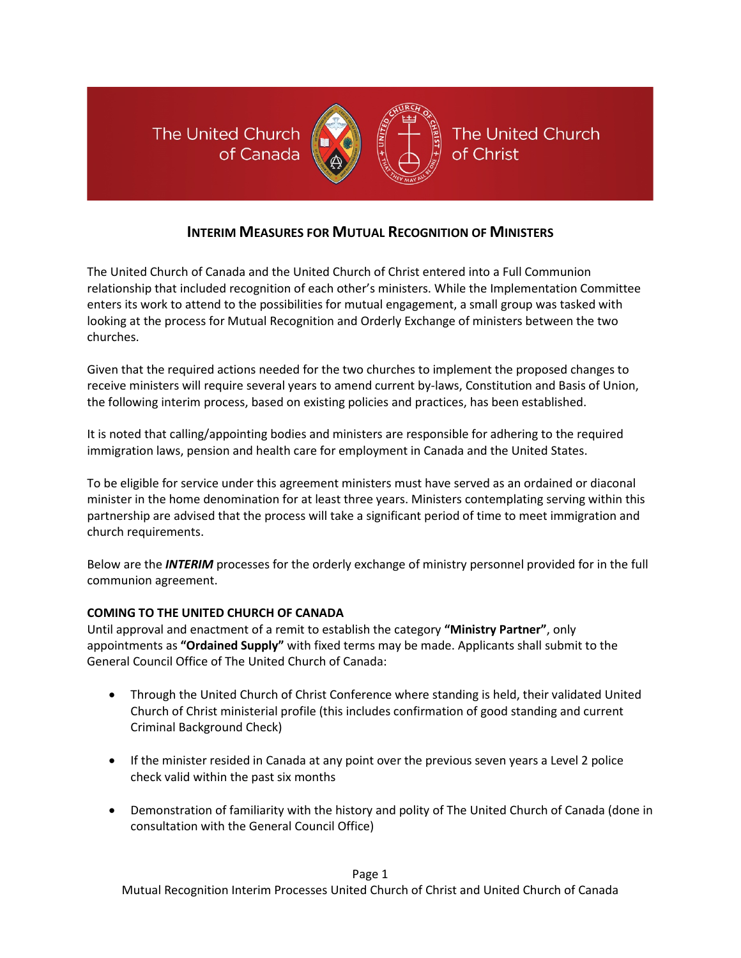The United Church of Canada



The United Church of Christ

# **INTERIM MEASURES FOR MUTUAL RECOGNITION OF MINISTERS**

The United Church of Canada and the United Church of Christ entered into a Full Communion relationship that included recognition of each other's ministers. While the Implementation Committee enters its work to attend to the possibilities for mutual engagement, a small group was tasked with looking at the process for Mutual Recognition and Orderly Exchange of ministers between the two churches.

Given that the required actions needed for the two churches to implement the proposed changes to receive ministers will require several years to amend current by-laws, Constitution and Basis of Union, the following interim process, based on existing policies and practices, has been established.

It is noted that calling/appointing bodies and ministers are responsible for adhering to the required immigration laws, pension and health care for employment in Canada and the United States.

To be eligible for service under this agreement ministers must have served as an ordained or diaconal minister in the home denomination for at least three years. Ministers contemplating serving within this partnership are advised that the process will take a significant period of time to meet immigration and church requirements.

Below are the *INTERIM* processes for the orderly exchange of ministry personnel provided for in the full communion agreement.

### **COMING TO THE UNITED CHURCH OF CANADA**

Until approval and enactment of a remit to establish the category **"Ministry Partner"**, only appointments as **"Ordained Supply"** with fixed terms may be made. Applicants shall submit to the General Council Office of The United Church of Canada:

- Through the United Church of Christ Conference where standing is held, their validated United Church of Christ ministerial profile (this includes confirmation of good standing and current Criminal Background Check)
- If the minister resided in Canada at any point over the previous seven years a Level 2 police check valid within the past six months
- Demonstration of familiarity with the history and polity of The United Church of Canada (done in consultation with the General Council Office)

Page 1

Mutual Recognition Interim Processes United Church of Christ and United Church of Canada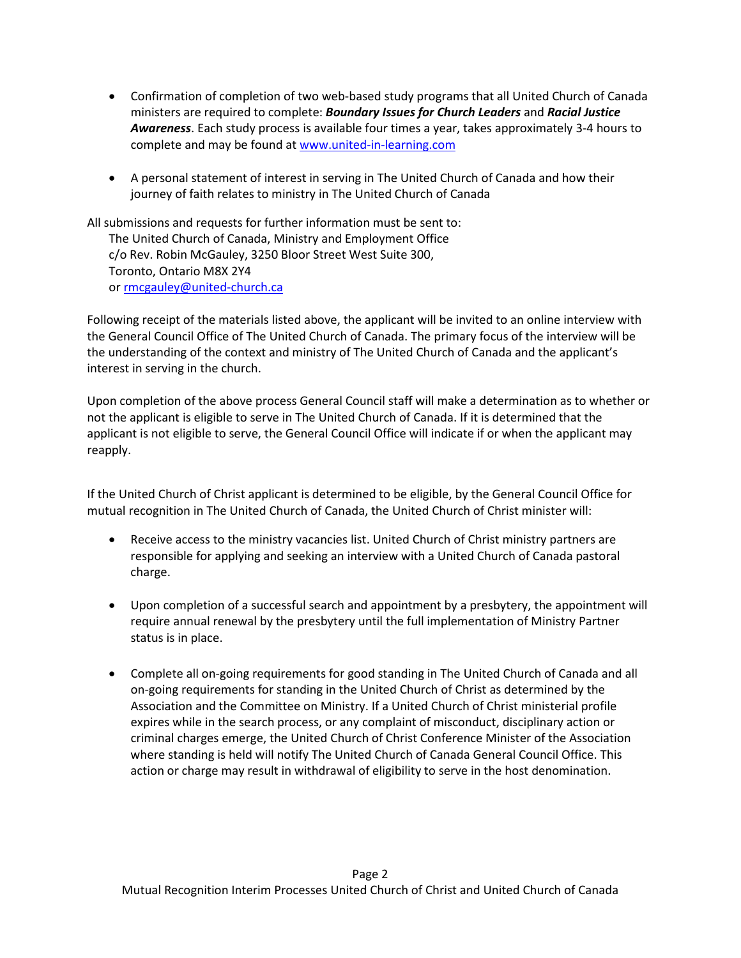- Confirmation of completion of two web-based study programs that all United Church of Canada ministers are required to complete: *Boundary Issues for Church Leaders* and *Racial Justice Awareness*. Each study process is available four times a year, takes approximately 3-4 hours to complete and may be found a[t www.united-in-learning.com](http://www.united-in-learning.com/)
- A personal statement of interest in serving in The United Church of Canada and how their journey of faith relates to ministry in The United Church of Canada

All submissions and requests for further information must be sent to: The United Church of Canada, Ministry and Employment Office c/o Rev. Robin McGauley, 3250 Bloor Street West Suite 300, Toronto, Ontario M8X 2Y4 or [rmcgauley@united-church.ca](mailto:rmcgauley@united-church.ca)

Following receipt of the materials listed above, the applicant will be invited to an online interview with the General Council Office of The United Church of Canada. The primary focus of the interview will be the understanding of the context and ministry of The United Church of Canada and the applicant's interest in serving in the church.

Upon completion of the above process General Council staff will make a determination as to whether or not the applicant is eligible to serve in The United Church of Canada. If it is determined that the applicant is not eligible to serve, the General Council Office will indicate if or when the applicant may reapply.

If the United Church of Christ applicant is determined to be eligible, by the General Council Office for mutual recognition in The United Church of Canada, the United Church of Christ minister will:

- Receive access to the ministry vacancies list. United Church of Christ ministry partners are responsible for applying and seeking an interview with a United Church of Canada pastoral charge.
- Upon completion of a successful search and appointment by a presbytery, the appointment will require annual renewal by the presbytery until the full implementation of Ministry Partner status is in place.
- Complete all on-going requirements for good standing in The United Church of Canada and all on-going requirements for standing in the United Church of Christ as determined by the Association and the Committee on Ministry. If a United Church of Christ ministerial profile expires while in the search process, or any complaint of misconduct, disciplinary action or criminal charges emerge, the United Church of Christ Conference Minister of the Association where standing is held will notify The United Church of Canada General Council Office. This action or charge may result in withdrawal of eligibility to serve in the host denomination.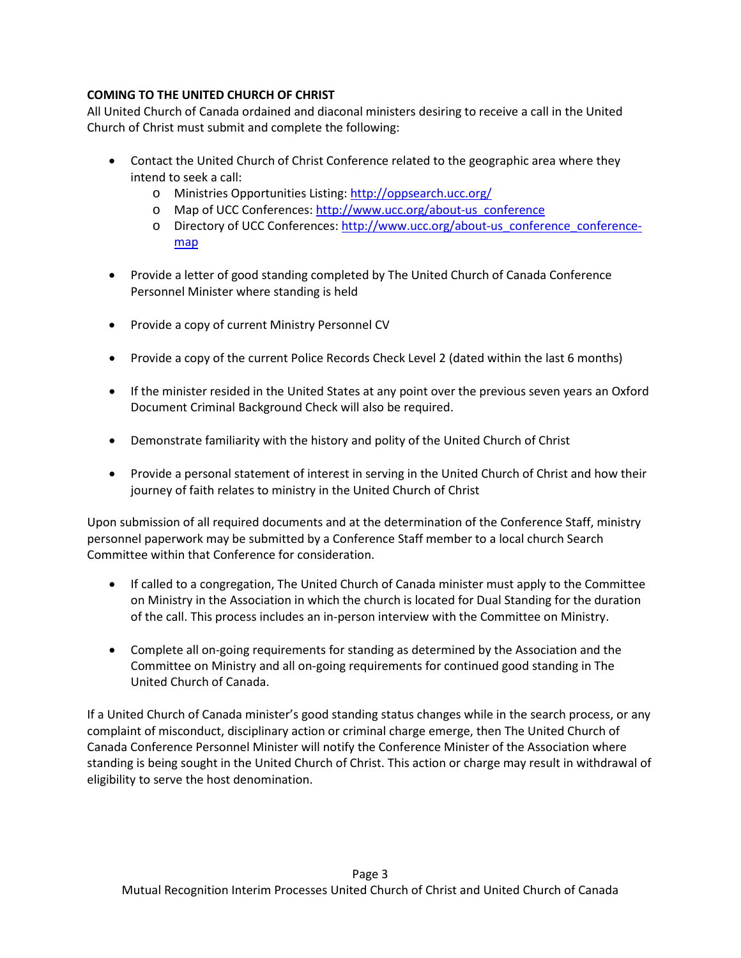## **COMING TO THE UNITED CHURCH OF CHRIST**

All United Church of Canada ordained and diaconal ministers desiring to receive a call in the United Church of Christ must submit and complete the following:

- Contact the United Church of Christ Conference related to the geographic area where they intend to seek a call:
	- o Ministries Opportunities Listing[: http://oppsearch.ucc.org/](http://oppsearch.ucc.org/)
	- o Map of UCC Conferences: [http://www.ucc.org/about-us\\_conference](http://www.ucc.org/about-us_conference)
	- o Directory of UCC Conferences: [http://www.ucc.org/about-us\\_conference\\_conference](http://www.ucc.org/about-us_conference_conference-map)[map](http://www.ucc.org/about-us_conference_conference-map)
- Provide a letter of good standing completed by The United Church of Canada Conference Personnel Minister where standing is held
- Provide a copy of current Ministry Personnel CV
- Provide a copy of the current Police Records Check Level 2 (dated within the last 6 months)
- If the minister resided in the United States at any point over the previous seven years an Oxford Document Criminal Background Check will also be required.
- Demonstrate familiarity with the history and polity of the United Church of Christ
- Provide a personal statement of interest in serving in the United Church of Christ and how their journey of faith relates to ministry in the United Church of Christ

Upon submission of all required documents and at the determination of the Conference Staff, ministry personnel paperwork may be submitted by a Conference Staff member to a local church Search Committee within that Conference for consideration.

- If called to a congregation, The United Church of Canada minister must apply to the Committee on Ministry in the Association in which the church is located for Dual Standing for the duration of the call. This process includes an in-person interview with the Committee on Ministry.
- Complete all on-going requirements for standing as determined by the Association and the Committee on Ministry and all on-going requirements for continued good standing in The United Church of Canada.

If a United Church of Canada minister's good standing status changes while in the search process, or any complaint of misconduct, disciplinary action or criminal charge emerge, then The United Church of Canada Conference Personnel Minister will notify the Conference Minister of the Association where standing is being sought in the United Church of Christ. This action or charge may result in withdrawal of eligibility to serve the host denomination.